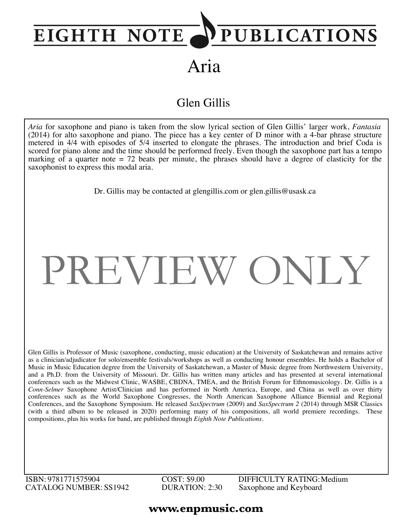## PUBLICATIONS EIGHTH NOTE

Aria

### Glen Gillis

*Aria* for saxophone and piano is taken from the slow lyrical section of Glen Gillis' larger work, *Fantasia* (2014) for alto saxophone and piano. The piece has a key center of D minor with a 4-bar phrase structure metered in 4/4 with episodes of 5/4 inserted to elongate the phrases. The introduction and brief Coda is scored for piano alone and the time should be performed freely. Even though the saxophone part has a tempo marking of a quarter note  $= 72$  beats per minute, the phrases should have a degree of elasticity for the saxophonist to express this modal aria.

Dr. Gillis may be contacted at glengillis.com or glen.gillis@usask.ca

# PREVIEW ONLY

Glen Gillis is Professor of Music (saxophone, conducting, music education) at the University of Saskatchewan and remains active as a clinician/adjudicator for solo/ensemble festivals/workshops as well as conducting honour ensembles. He holds a Bachelor of Music in Music Education degree from the University of Saskatchewan, a Master of Music degree from Northwestern University, and a Ph.D. from the University of Missouri. Dr. Gillis has written many articles and has presented at several international conferences such as the Midwest Clinic, WASBE, CBDNA, TMEA, and the British Forum for Ethnomusicology. Dr. Gillis is a *Conn-Selmer* Saxophone Artist/Clinician and has performed in North America, Europe, and China as well as over thirty conferences such as the World Saxophone Congresses, the North American Saxophone Alliance Biennial and Regional Conferences, and the Saxophone Symposium. He released *SaxSpectrum* (2009) and *SaxSpectrum 2* (2014) through MSR Classics (with a third album to be released in 2020) performing many of his compositions, all world premiere recordings. These compositions, plus his works for band, are published through *Eighth Note Publications*.

ISBN: 9781771575904 CATALOG NUMBER: SS1942 COST: \$9.00 DURATION: 2:30 DIFFICULTY RATING:Medium Saxophone and Keyboard

#### **www.enpmusic.com**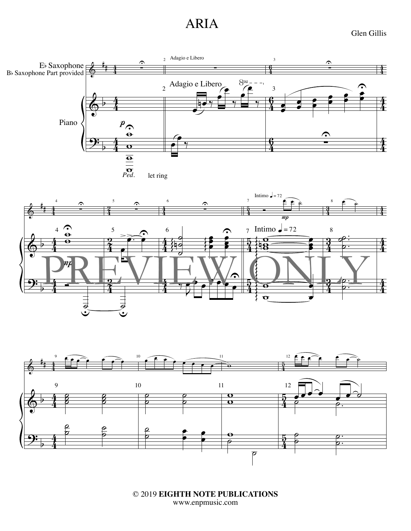## ARIA

Glen Gillis







© 2019 **EIGHTH NOTE PUBLICATIONS** www.enpmusic.com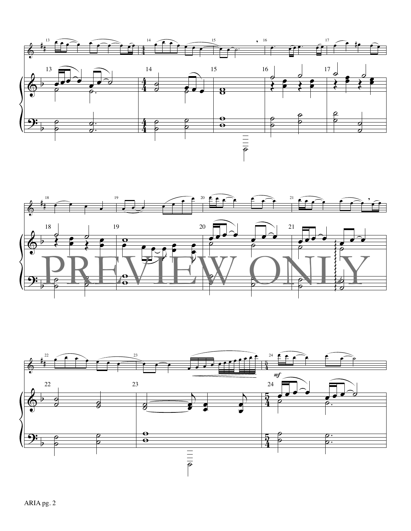